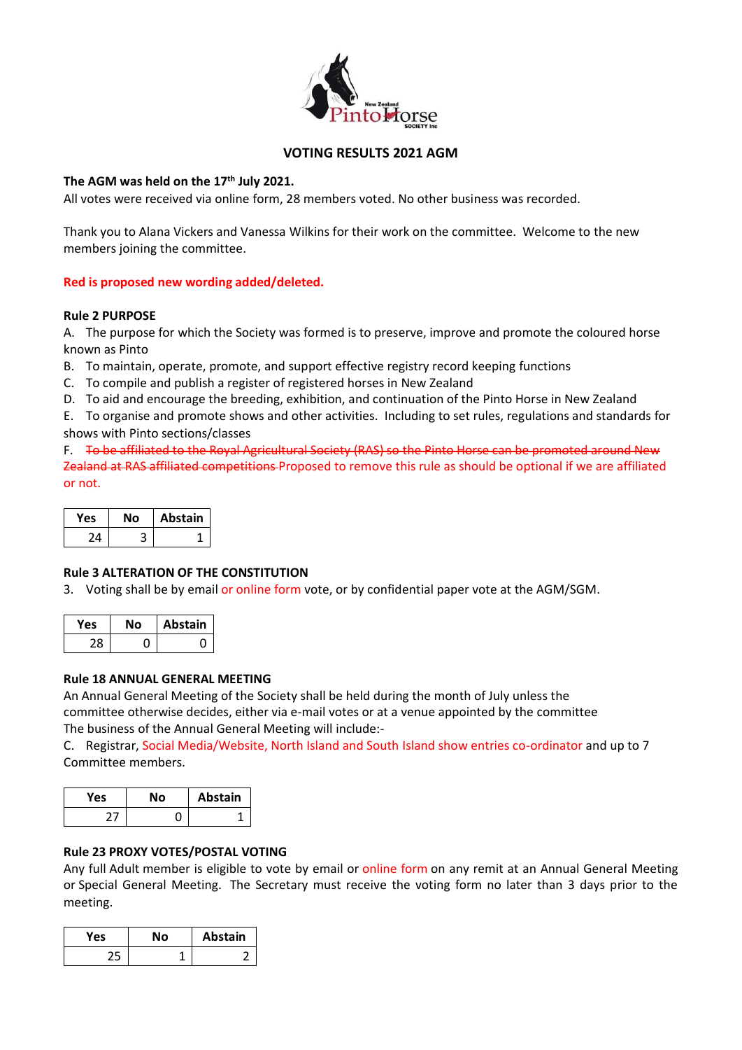

### **VOTING RESULTS 2021 AGM**

### **The AGM was held on the 17th July 2021.**

All votes were received via online form, 28 members voted. No other business was recorded.

Thank you to Alana Vickers and Vanessa Wilkins for their work on the committee. Welcome to the new members joining the committee.

### **Red is proposed new wording added/deleted.**

### **Rule 2 PURPOSE**

A. The purpose for which the Society was formed is to preserve, improve and promote the coloured horse known as Pinto

- B. To maintain, operate, promote, and support effective registry record keeping functions
- C. To compile and publish a register of registered horses in New Zealand
- D. To aid and encourage the breeding, exhibition, and continuation of the Pinto Horse in New Zealand

E. To organise and promote shows and other activities. Including to set rules, regulations and standards for shows with Pinto sections/classes

F. To be affiliated to the Royal Agricultural Society (RAS) so the Pinto Horse can be promoted around New Zealand at RAS affiliated competitions-Proposed to remove this rule as should be optional if we are affiliated or not.

| res | Nο | Abstain |
|-----|----|---------|
| ۱4  | в  |         |

## **Rule 3 ALTERATION OF THE CONSTITUTION**

3. Voting shall be by email or online form vote, or by confidential paper vote at the AGM/SGM.

| Yes | Nο | <b>Abstain</b> |
|-----|----|----------------|
| 28. |    |                |

#### **Rule 18 ANNUAL GENERAL MEETING**

An Annual General Meeting of the Society shall be held during the month of July unless the committee otherwise decides, either via e-mail votes or at a venue appointed by the committee The business of the Annual General Meeting will include:-

C. Registrar, Social Media/Website, North Island and South Island show entries co-ordinator and up to 7 Committee members.

| Yes | Nο | Abstain |
|-----|----|---------|
|     |    |         |

# **Rule 23 PROXY VOTES/POSTAL VOTING**

Any full Adult member is eligible to vote by email or online form on any remit at an Annual General Meeting or Special General Meeting. The Secretary must receive the voting form no later than 3 days prior to the meeting.

| Yes | Nο | <b>Abstain</b> |
|-----|----|----------------|
| 25  |    |                |